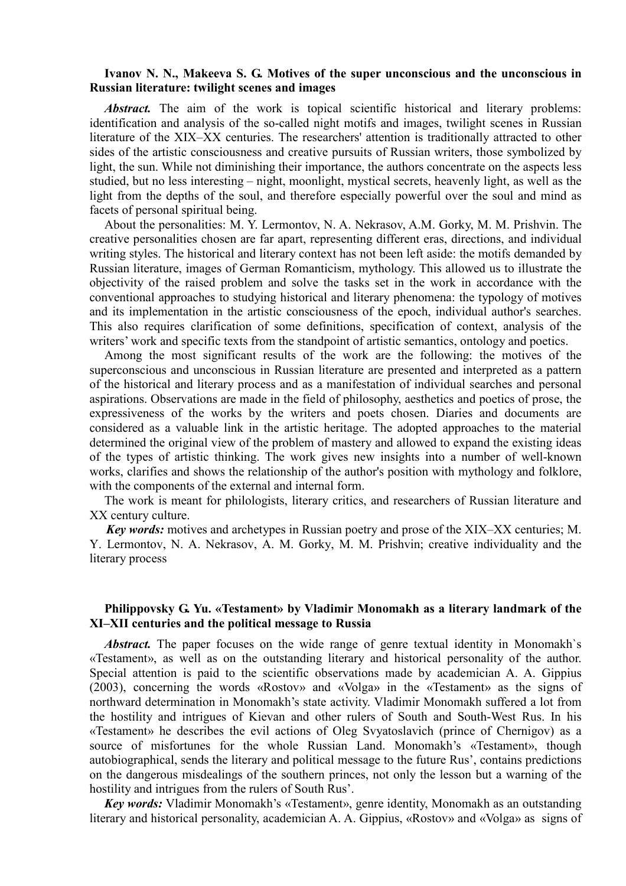## **Ivanov N. N., Makeeva S. G. Motives of the super unconscious and the unconscious in Russian literature: twilight scenes and images**

*Abstract.* The aim of the work is topical scientific historical and literary problems: identification and analysis of the so-called night motifs and images, twilight scenes in Russian literature of the XIX–XX centuries. The researchers' attention is traditionally attracted to other sides of the artistic consciousness and creative pursuits of Russian writers, those symbolized by light, the sun. While not diminishing their importance, the authors concentrate on the aspects less studied, but no less interesting – night, moonlight, mystical secrets, heavenly light, as well as the light from the depths of the soul, and therefore especially powerful over the soul and mind as facets of personal spiritual being.

About the personalities: M. Y. Lermontov, N. A. Nekrasov, A.M. Gorky, M. M. Prishvin. The creative personalities chosen are far apart, representing different eras, directions, and individual writing styles. The historical and literary context has not been left aside: the motifs demanded by Russian literature, images of German Romanticism, mythology. This allowed us to illustrate the objectivity of the raised problem and solve the tasks set in the work in accordance with the conventional approaches to studying historical and literary phenomena: the typology of motives and its implementation in the artistic consciousness of the epoch, individual author's searches. This also requires clarification of some definitions, specification of context, analysis of the writers' work and specific texts from the standpoint of artistic semantics, ontology and poetics.

Among the most significant results of the work are the following: the motives of the superconscious and unconscious in Russian literature are presented and interpreted as a pattern of the historical and literary process and as a manifestation of individual searches and personal aspirations. Observations are made in the field of philosophy, aesthetics and poetics of prose, the expressiveness of the works by the writers and poets chosen. Diaries and documents are considered as a valuable link in the artistic heritage. The adopted approaches to the material determined the original view of the problem of mastery and allowed to expand the existing ideas of the types of artistic thinking. The work gives new insights into a number of well-known works, clarifies and shows the relationship of the author's position with mythology and folklore, with the components of the external and internal form.

The work is meant for philologists, literary critics, and researchers of Russian literature and XX century culture.

*Key words:* motives and archetypes in Russian poetry and prose of the XIX–XX centuries; M. Y. Lermontov, N. A. Nekrasov, A. M. Gorky, M. M. Prishvin; creative individuality and the literary process

## **Philippovsky G. Yu. «Testament» by Vladimir Monomakh as a literary landmark of the XI–XII centuries and the political message to Russia**

*Abstract.* The paper focuses on the wide range of genre textual identity in Monomakh's «Testament», as well as on the outstanding literary and historical personality of the author. Special attention is paid to the scientific observations made by academician A. A. Gippius (2003), concerning the words «Rostov» and «Volga» in the «Testament» as the signs of northward determination in Monomakh's state activity. Vladimir Monomakh suffered a lot from the hostility and intrigues of Kievan and other rulers of South and South-West Rus. In his «Testament» he describes the evil actions of Oleg Svyatoslavich (prince of Chernigov) as a source of misfortunes for the whole Russian Land. Monomakh's «Testament», though autobiographical, sends the literary and political message to the future Rus', contains predictions on the dangerous misdealings of the southern princes, not only the lesson but a warning of the hostility and intrigues from the rulers of South Rus'.

*Key words:* Vladimir Monomakh's «Testament», genre identity, Monomakh as an outstanding literary and historical personality, academician A. A. Gippius, «Rostov» and «Volga» as signs of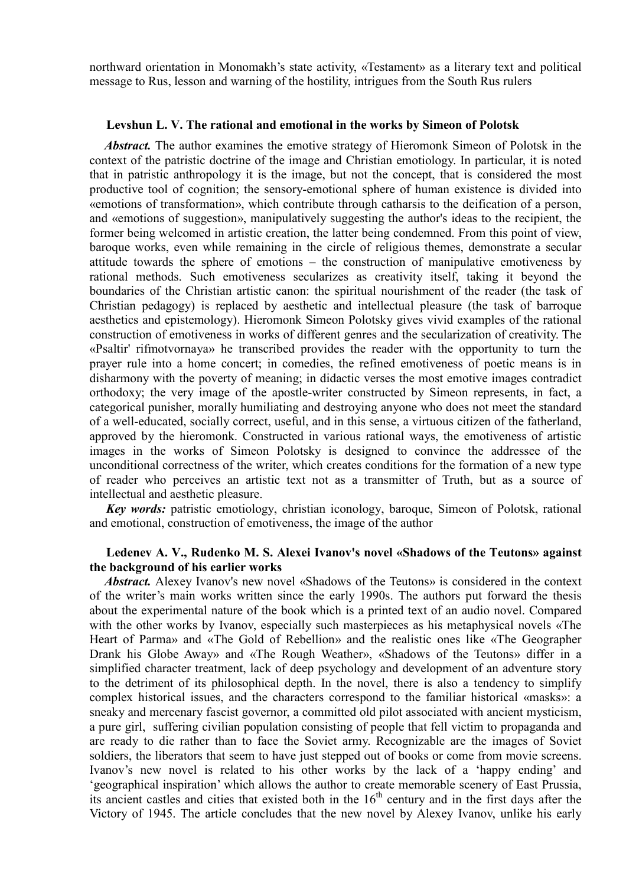northward orientation in Monomakh's state activity, «Testament» as a literary text and political message to Rus, lesson and warning of the hostility, intrigues from the South Rus rulers

### **Levshun L. V. The rational and emotional in the works by Simeon of Polotsk**

*Abstract.* The author examines the emotive strategy of Hieromonk Simeon of Polotsk in the context of the patristic doctrine of the image and Christian emotiology. In particular, it is noted that in patristic anthropology it is the image, but not the concept, that is considered the most productive tool of cognition; the sensory-emotional sphere of human existence is divided into «emotions of transformation», which contribute through catharsis to the deification of a person, and «emotions of suggestion», manipulatively suggesting the author's ideas to the recipient, the former being welcomed in artistic creation, the latter being condemned. From this point of view, baroque works, even while remaining in the circle of religious themes, demonstrate a secular attitude towards the sphere of emotions – the construction of manipulative emotiveness by rational methods. Such emotiveness secularizes as creativity itself, taking it beyond the boundaries of the Christian artistic canon: the spiritual nourishment of the reader (the task of Christian pedagogy) is replaced by aesthetic and intellectual pleasure (the task of barroque aesthetics and epistemology). Hieromonk Simeon Polotsky gives vivid examples of the rational construction of emotiveness in works of different genres and the secularization of creativity. The «Psaltir' rifmotvornaya» he transcribed provides the reader with the opportunity to turn the prayer rule into a home concert; in comedies, the refined emotiveness of poetic means is in disharmony with the poverty of meaning; in didactic verses the most emotive images contradict orthodoxy; the very image of the apostle-writer constructed by Simeon represents, in fact, a categorical punisher, morally humiliating and destroying anyone who does not meet the standard of a well-educated, socially correct, useful, and in this sense, a virtuous citizen of the fatherland, approved by the hieromonk. Constructed in various rational ways, the emotiveness of artistic images in the works of Simeon Polotsky is designed to convince the addressee of the unconditional correctness of the writer, which creates conditions for the formation of a new type of reader who perceives an artistic text not as a transmitter of Truth, but as a source of intellectual and aesthetic pleasure.

*Key words:* patristic emotiology, christian iconology, baroque, Simeon of Polotsk, rational and emotional, construction of emotiveness, the image of the author

## **Ledenev A. V., Rudenko M. S. Alexei Ivanov's novel «Shadows of the Teutons» against the background of his earlier works**

*Abstract.* Alexey Ivanov's new novel «Shadows of the Teutons» is considered in the context of the writer's main works written since the early 1990s. The authors put forward the thesis about the experimental nature of the book which is a printed text of an audio novel. Compared with the other works by Ivanov, especially such masterpieces as his metaphysical novels «The Heart of Parma» and «The Gold of Rebellion» and the realistic ones like «The Geographer Drank his Globe Away» and «The Rough Weather», «Shadows of the Teutons» differ in a simplified character treatment, lack of deep psychology and development of an adventure story to the detriment of its philosophical depth. In the novel, there is also a tendency to simplify complex historical issues, and the characters correspond to the familiar historical «masks»: a sneaky and mercenary fascist governor, a committed old pilot associated with ancient mysticism, a pure girl, suffering civilian population consisting of people that fell victim to propaganda and are ready to die rather than to face the Soviet army. Recognizable are the images of Soviet soldiers, the liberators that seem to have just stepped out of books or come from movie screens. Ivanov's new novel is related to his other works by the lack of a 'happy ending' and 'geographical inspiration' which allows the author to create memorable scenery of East Prussia, its ancient castles and cities that existed both in the  $16<sup>th</sup>$  century and in the first days after the Victory of 1945. The article concludes that the new novel by Alexey Ivanov, unlike his early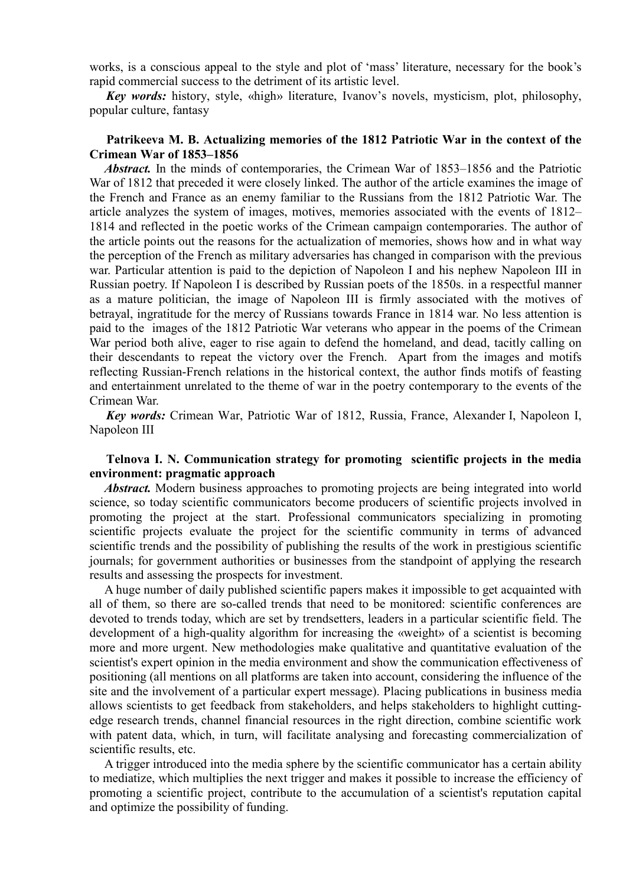works, is a conscious appeal to the style and plot of 'mass' literature, necessary for the book's rapid commercial success to the detriment of its artistic level.

*Key words:* history, style, «high» literature, Ivanov's novels, mysticism, plot, philosophy, popular culture, fantasy

## **Patrikeeva M. B. Actualizing memories of the 1812 Patriotic War in the context of the Crimean War of 1853–1856**

*Abstract.* In the minds of contemporaries, the Crimean War of 1853–1856 and the Patriotic War of 1812 that preceded it were closely linked. The author of the article examines the image of the French and France as an enemy familiar to the Russians from the 1812 Patriotic War. The article analyzes the system of images, motives, memories associated with the events of 1812– 1814 and reflected in the poetic works of the Crimean campaign contemporaries. The author of the article points out the reasons for the actualization of memories, shows how and in what way the perception of the French as military adversaries has changed in comparison with the previous war. Particular attention is paid to the depiction of Napoleon I and his nephew Napoleon III in Russian poetry. If Napoleon I is described by Russian poets of the 1850s. in a respectful manner as a mature politician, the image of Napoleon III is firmly associated with the motives of betrayal, ingratitude for the mercy of Russians towards France in 1814 war. No less attention is paid to the images of the 1812 Patriotic War veterans who appear in the poems of the Crimean War period both alive, eager to rise again to defend the homeland, and dead, tacitly calling on their descendants to repeat the victory over the French. Apart from the images and motifs reflecting Russian-French relations in the historical context, the author finds motifs of feasting and entertainment unrelated to the theme of war in the poetry contemporary to the events of the Crimean War.

*Key words:* Crimean War, Patriotic War of 1812, Russia, France, Alexander I, Napoleon I, Napoleon III

# **Telnova I. N. Communication strategy for promoting scientific projects in the media environment: pragmatic approach**

Abstract. Modern business approaches to promoting projects are being integrated into world science, so today scientific communicators become producers of scientific projects involved in promoting the project at the start. Professional communicators specializing in promoting scientific projects evaluate the project for the scientific community in terms of advanced scientific trends and the possibility of publishing the results of the work in prestigious scientific journals; for government authorities or businesses from the standpoint of applying the research results and assessing the prospects for investment.

A huge number of daily published scientific papers makes it impossible to get acquainted with all of them, so there are so-called trends that need to be monitored: scientific conferences are devoted to trends today, which are set by trendsetters, leaders in a particular scientific field. The development of a high-quality algorithm for increasing the «weight» of a scientist is becoming more and more urgent. New methodologies make qualitative and quantitative evaluation of the scientist's expert opinion in the media environment and show the communication effectiveness of positioning (all mentions on all platforms are taken into account, considering the influence of the site and the involvement of a particular expert message). Placing publications in business media allows scientists to get feedback from stakeholders, and helps stakeholders to highlight cuttingedge research trends, channel financial resources in the right direction, combine scientific work with patent data, which, in turn, will facilitate analysing and forecasting commercialization of scientific results, etc.

A trigger introduced into the media sphere by the scientific communicator has a certain ability to mediatize, which multiplies the next trigger and makes it possible to increase the efficiency of promoting a scientific project, contribute to the accumulation of a scientist's reputation capital and optimize the possibility of funding.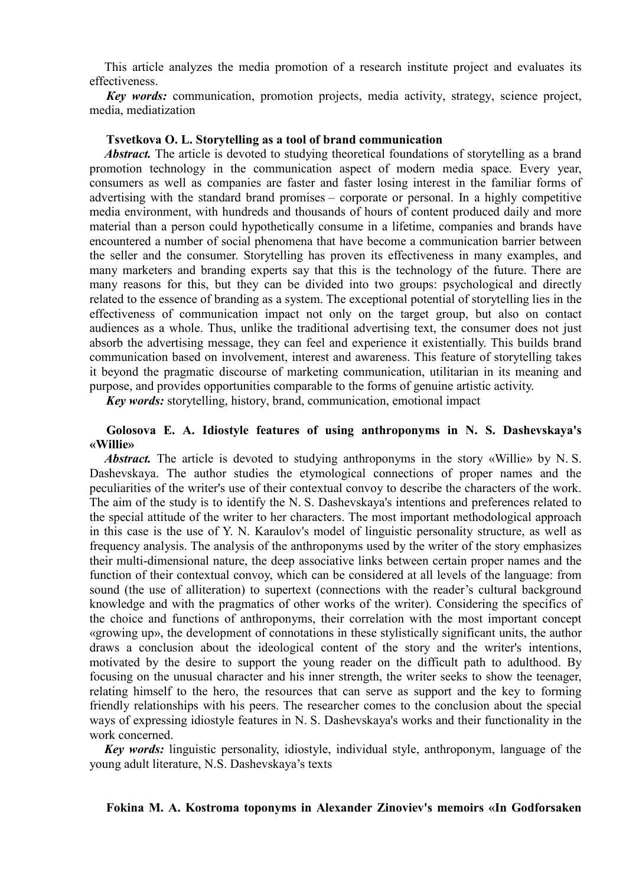This article analyzes the media promotion of a research institute project and evaluates its effectiveness.

*Кey words:* communication, promotion projects, media activity, strategy, science project, media, mediatization

### **Tsvetkova O. L. Storytelling as a tool of brand communication**

*Abstract.* The article is devoted to studying theoretical foundations of storytelling as a brand promotion technology in the communication aspect of modern media space. Every year, consumers as well as companies are faster and faster losing interest in the familiar forms of advertising with the standard brand promises – corporate or personal. In a highly competitive media environment, with hundreds and thousands of hours of content produced daily and more material than a person could hypothetically consume in a lifetime, companies and brands have encountered a number of social phenomena that have become a communication barrier between the seller and the consumer. Storytelling has proven its effectiveness in many examples, and many marketers and branding experts say that this is the technology of the future. There are many reasons for this, but they can be divided into two groups: psychological and directly related to the essence of branding as a system. The exceptional potential of storytelling lies in the effectiveness of communication impact not only on the target group, but also on contact audiences as a whole. Thus, unlike the traditional advertising text, the consumer does not just absorb the advertising message, they can feel and experience it existentially. This builds brand communication based on involvement, interest and awareness. This feature of storytelling takes it beyond the pragmatic discourse of marketing communication, utilitarian in its meaning and purpose, and provides opportunities comparable to the forms of genuine artistic activity.

*Key words:* storytelling, history, brand, communication, emotional impact

## **Golosova E. A. Idiostyle features of using anthroponyms in N. S. Dashevskaya's «Willie»**

*Abstract.* The article is devoted to studying anthroponyms in the story «Willie» by N.S. Dashevskaya. The author studies the etymological connections of proper names and the peculiarities of the writer's use of their contextual convoy to describe the characters of the work. The aim of the study is to identify the N. S. Dashevskaya's intentions and preferences related to the special attitude of the writer to her characters. The most important methodological approach in this case is the use of Y. N. Karaulov's model of linguistic personality structure, as well as frequency analysis. The analysis of the anthroponyms used by the writer of the story emphasizes their multi-dimensional nature, the deep associative links between certain proper names and the function of their contextual convoy, which can be considered at all levels of the language: from sound (the use of alliteration) to supertext (connections with the reader's cultural background knowledge and with the pragmatics of other works of the writer). Considering the specifics of the choice and functions of anthroponyms, their correlation with the most important concept «growing up», the development of connotations in these stylistically significant units, the author draws a conclusion about the ideological content of the story and the writer's intentions, motivated by the desire to support the young reader on the difficult path to adulthood. By focusing on the unusual character and his inner strength, the writer seeks to show the teenager, relating himself to the hero, the resources that can serve as support and the key to forming friendly relationships with his peers. The researcher comes to the conclusion about the special ways of expressing idiostyle features in N. S. Dashevskaya's works and their functionality in the work concerned.

*Key words:* linguistic personality, idiostyle, individual style, anthroponym, language of the young adult literature, N.S. Dashevskaya's texts

## **Fokina M. A. Kostroma toponyms in Alexander Zinoviev's memoirs «In Godforsaken**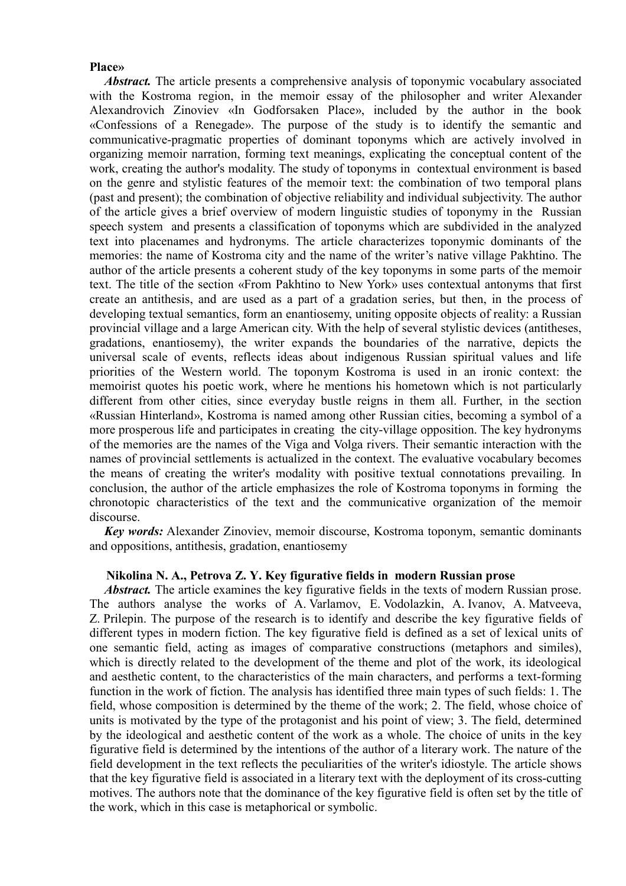### **Place»**

Abstract. The article presents a comprehensive analysis of toponymic vocabulary associated with the Kostroma region, in the memoir essay of the philosopher and writer Alexander Alexandrovich Zinoviev «In Godforsaken Place», included by the author in the book «Confessions of a Renegade». The purpose of the study is to identify the semantic and communicative-pragmatic properties of dominant toponyms which are actively involved in organizing memoir narration, forming text meanings, explicating the conceptual content of the work, creating the author's modality. The study of toponyms in contextual environment is based on the genre and stylistic features of the memoir text: the combination of two temporal plans (past and present); the combination of objective reliability and individual subjectivity. The author of the article gives a brief overview of modern linguistic studies of toponymy in the Russian speech system and presents a classification of toponyms which are subdivided in the analyzed text into placenames and hydronyms. The article characterizes toponymic dominants of the memories: the name of Kostroma city and the name of the writer's native village Pakhtino. The author of the article presents a coherent study of the key toponyms in some parts of the memoir text. The title of the section «From Pakhtino to New York» uses contextual antonyms that first create an antithesis, and are used as a part of a gradation series, but then, in the process of developing textual semantics, form an enantiosemy, uniting opposite objects of reality: a Russian provincial village and a large American city. With the help of several stylistic devices (antitheses, gradations, enantiosemy), the writer expands the boundaries of the narrative, depicts the universal scale of events, reflects ideas about indigenous Russian spiritual values and life priorities of the Western world. The toponym Kostroma is used in an ironic context: the memoirist quotes his poetic work, where he mentions his hometown which is not particularly different from other cities, since everyday bustle reigns in them all. Further, in the section «Russian Hinterland», Kostroma is named among other Russian cities, becoming a symbol of a more prosperous life and participates in creating the city-village opposition. The key hydronyms of the memories are the names of the Viga and Volga rivers. Their semantic interaction with the names of provincial settlements is actualized in the context. The evaluative vocabulary becomes the means of creating the writer's modality with positive textual connotations prevailing. In conclusion, the author of the article emphasizes the role of Kostroma toponyms in forming the chronotopic characteristics of the text and the communicative organization of the memoir discourse.

*Key words:* Alexander Zinoviev, memoir discourse, Kostroma toponym, semantic dominants and oppositions, antithesis, gradation, enantiosemy

### **Nikolina N. A., Petrova Z. Y. Key figurative fields in modern Russian prose**

*Abstract.* The article examines the key figurative fields in the texts of modern Russian prose. The authors analyse the works of A. Varlamov, E. Vodolazkin, A. Ivanov, A. Matveeva, Z. Prilepin. The purpose of the research is to identify and describe the key figurative fields of different types in modern fiction. The key figurative field is defined as a set of lexical units of one semantic field, acting as images of comparative constructions (metaphors and similes), which is directly related to the development of the theme and plot of the work, its ideological and aesthetic content, to the characteristics of the main characters, and performs a text-forming function in the work of fiction. The analysis has identified three main types of such fields: 1. The field, whose composition is determined by the theme of the work; 2. The field, whose choice of units is motivated by the type of the protagonist and his point of view; 3. The field, determined by the ideological and aesthetic content of the work as a whole. The choice of units in the key figurative field is determined by the intentions of the author of a literary work. The nature of the field development in the text reflects the peculiarities of the writer's idiostyle. The article shows that the key figurative field is associated in a literary text with the deployment of its cross-cutting motives. The authors note that the dominance of the key figurative field is often set by the title of the work, which in this case is metaphorical or symbolic.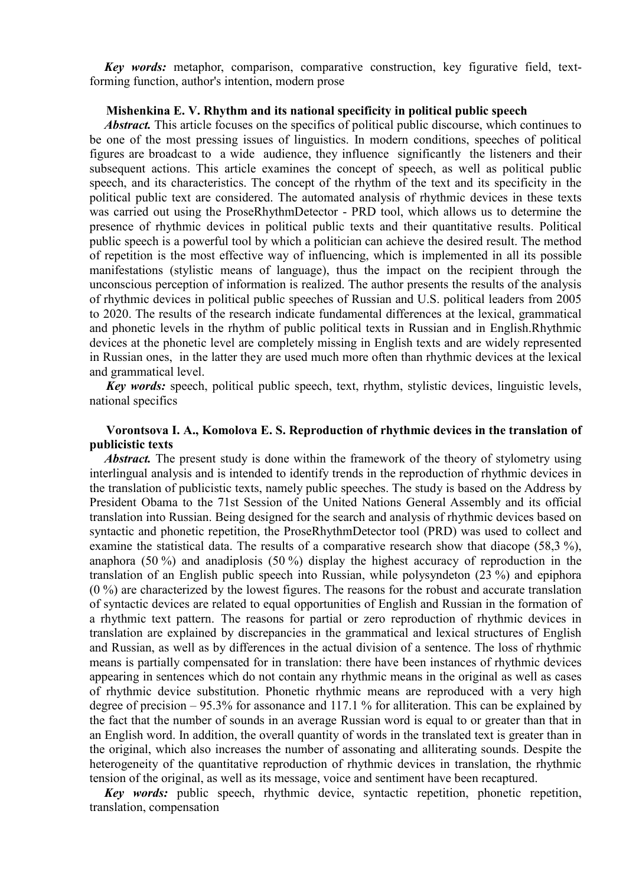*Key words:* metaphor, comparison, comparative construction, key figurative field, textforming function, author's intention, modern prose

### **Mishenkina E. V. Rhythm and its national specificity in political public speech**

*Abstract.* This article focuses on the specifics of political public discourse, which continues to be one of the most pressing issues of linguistics. In modern conditions, speeches of political figures are broadcast to a wide audience, they influence significantly the listeners and their subsequent actions. This article examines the concept of speech, as well as political public speech, and its characteristics. The concept of the rhythm of the text and its specificity in the political public text are considered. The automated analysis of rhythmic devices in these texts was carried out using the ProseRhythmDetector - PRD tool, which allows us to determine the presence of rhythmic devices in political public texts and their quantitative results. Political public speech is a powerful tool by which a politician can achieve the desired result. The method of repetition is the most effective way of influencing, which is implemented in all its possible manifestations (stylistic means of language), thus the impact on the recipient through the unconscious perception of information is realized. The author presents the results of the analysis of rhythmic devices in political public speeches of Russian and U.S. political leaders from 2005 to 2020. The results of the research indicate fundamental differences at the lexical, grammatical and phonetic levels in the rhythm of public political texts in Russian and in English.Rhythmic devices at the phonetic level are completely missing in English texts and are widely represented in Russian ones, in the latter they are used much more often than rhythmic devices at the lexical and grammatical level.

*Key words:* speech, political public speech, text, rhythm, stylistic devices, linguistic levels, national specifics

## **Vorontsova I. A., Komolova E. S. Reproduction of rhythmic devices in the translation of publicistic texts**

*Abstract.* The present study is done within the framework of the theory of stylometry using interlingual analysis and is intended to identify trends in the reproduction of rhythmic devices in the translation of publicistic texts, namely public speeches. The study is based on the Address by President Obama to the 71st Session of the United Nations General Assembly and its official translation into Russian. Being designed for the search and analysis of rhythmic devices based on syntactic and phonetic repetition, the ProseRhythmDetector tool (PRD) was used to collect and examine the statistical data. The results of a comparative research show that diacope (58,3 %), anaphora (50 %) and anadiplosis (50 %) display the highest accuracy of reproduction in the translation of an English public speech into Russian, while polysyndeton (23 %) and epiphora (0 %) are characterized by the lowest figures. The reasons for the robust and accurate translation of syntactic devices are related to equal opportunities of English and Russian in the formation of a rhythmic text pattern. The reasons for partial or zero reproduction of rhythmic devices in translation are explained by discrepancies in the grammatical and lexical structures of English and Russian, as well as by differences in the actual division of a sentence. The loss of rhythmic means is partially compensated for in translation: there have been instances of rhythmic devices appearing in sentences which do not contain any rhythmic means in the original as well as cases of rhythmic device substitution. Phonetic rhythmic means are reproduced with a very high degree of precision – 95.3% for assonance and 117.1 % for alliteration. This can be explained by the fact that the number of sounds in an average Russian word is equal to or greater than that in an English word. In addition, the overall quantity of words in the translated text is greater than in the original, which also increases the number of assonating and alliterating sounds. Despite the heterogeneity of the quantitative reproduction of rhythmic devices in translation, the rhythmic tension of the original, as well as its message, voice and sentiment have been recaptured.

*Key words:* public speech, rhythmic device, syntactic repetition, phonetic repetition, translation, compensation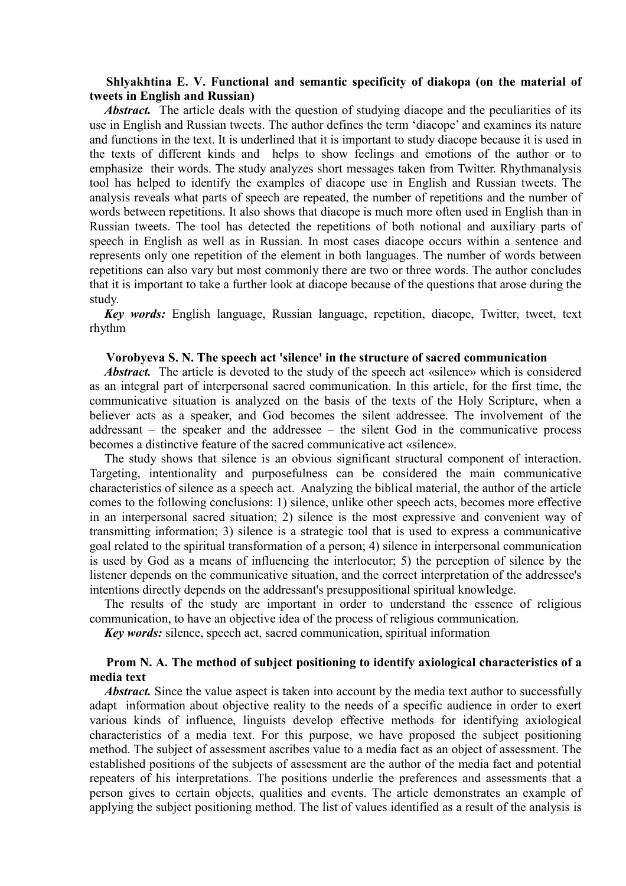## **Shlyakhtina E. V. Functional and semantic specificity of diakopa (on the material of tweets in English and Russian)**

*Abstract.* The article deals with the question of studying diacope and the peculiarities of its use in English and Russian tweets. The author defines the term 'diacope' and examines its nature and functions in the text. It is underlined that it is important to study diacope because it is used in the texts of different kinds and helps to show feelings and emotions of the author or to emphasize their words. The study analyzes short messages taken from Twitter. Rhythmanalysis tool has helped to identify the examples of diacope use in English and Russian tweets. The analysis reveals what parts of speech are repeated, the number of repetitions and the number of words between repetitions. It also shows that diacope is much more often used in English than in Russian tweets. The tool has detected the repetitions of both notional and auxiliary parts of speech in English as well as in Russian. In most cases diacope occurs within a sentence and represents only one repetition of the element in both languages. The number of words between repetitions can also vary but most commonly there are two or three words. The author concludes that it is important to take a further look at diacope because of the questions that arose during the study.

*Key words:* English language, Russian language, repetition, diacope, Twitter, tweet, text rhythm

#### **Vorobyeva S. N. The speech act 'silence' in the structure of sacred communication**

*Abstract.* The article is devoted to the study of the speech act «silence» which is considered as an integral part of interpersonal sacred communication. In this article, for the first time, the communicative situation is analyzed on the basis of the texts of the Holy Scripture, when a believer acts as a speaker, and God becomes the silent addressee. The involvement of the addressant – the speaker and the addressee – the silent God in the communicative process becomes a distinctive feature of the sacred communicative act «silence».

The study shows that silence is an obvious significant structural component of interaction. Targeting, intentionality and purposefulness can be considered the main communicative characteristics of silence as a speech act. Analyzing the biblical material, the author of the article comes to the following conclusions: 1) silence, unlike other speech acts, becomes more effective in an interpersonal sacred situation; 2) silence is the most expressive and convenient way of transmitting information; 3) silence is a strategic tool that is used to express a communicative goal related to the spiritual transformation of a person; 4) silence in interpersonal communication is used by God as a means of influencing the interlocutor; 5) the perception of silence by the listener depends on the communicative situation, and the correct interpretation of the addressee's intentions directly depends on the addressant's presuppositional spiritual knowledge.

The results of the study are important in order to understand the essence of religious communication, to have an objective idea of the process of religious communication.

*Key words:* silence, speech act, sacred communication, spiritual information

## **Prom N. A. The method of subject positioning to identify axiological characteristics of a media text**

*Abstract.* Since the value aspect is taken into account by the media text author to successfully adapt information about objective reality to the needs of a specific audience in order to exert various kinds of influence, linguists develop effective methods for identifying axiological characteristics of a media text. For this purpose, we have proposed the subject positioning method. The subject of assessment ascribes value to a media fact as an object of assessment. The established positions of the subjects of assessment are the author of the media fact and potential repeaters of his interpretations. The positions underlie the preferences and assessments that a person gives to certain objects, qualities and events. The article demonstrates an example of applying the subject positioning method. The list of values identified as a result of the analysis is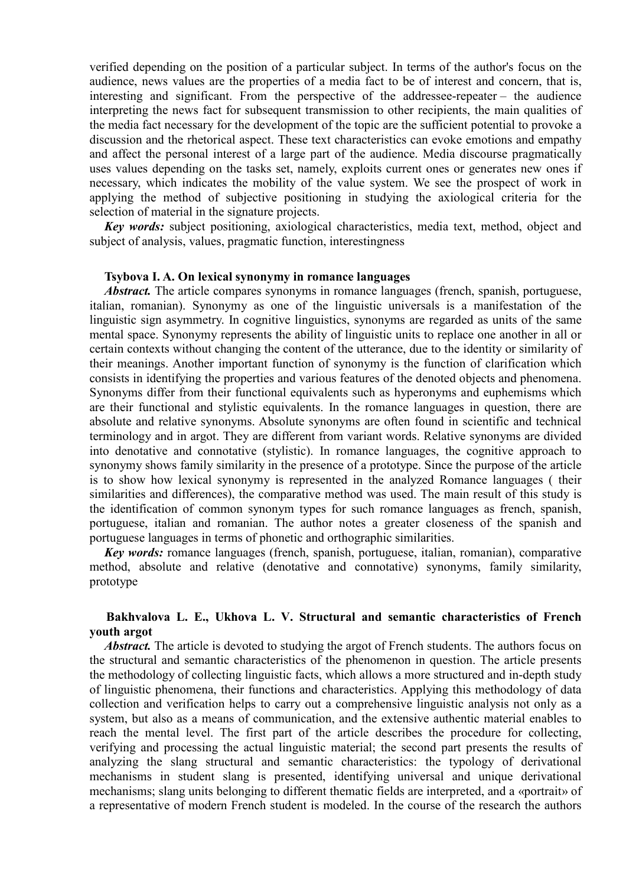verified depending on the position of a particular subject. In terms of the author's focus on the audience, news values are the properties of a media fact to be of interest and concern, that is, interesting and significant. From the perspective of the addressee-repeater – the audience interpreting the news fact for subsequent transmission to other recipients, the main qualities of the media fact necessary for the development of the topic are the sufficient potential to provoke a discussion and the rhetorical aspect. These text characteristics can evoke emotions and empathy and affect the personal interest of a large part of the audience. Media discourse pragmatically uses values depending on the tasks set, namely, exploits current ones or generates new ones if necessary, which indicates the mobility of the value system. We see the prospect of work in applying the method of subjective positioning in studying the axiological criteria for the selection of material in the signature projects.

*Key words:* subject positioning, axiological characteristics, media text, method, object and subject of analysis, values, pragmatic function, interestingness

### **Tsybova I. A. On lexical synonymy in romance languages**

*Abstract.* The article compares synonyms in romance languages (french, spanish, portuguese, italian, romanian). Synonymy as one of the linguistic universals is a manifestation of the linguistic sign asymmetry. In cognitive linguistics, synonyms are regarded as units of the same mental space. Synonymy represents the ability of linguistic units to replace one another in all or certain contexts without changing the content of the utterance, due to the identity or similarity of their meanings. Another important function of synonymy is the function of clarification which consists in identifying the properties and various features of the denoted objects and phenomena. Synonyms differ from their functional equivalents such as hyperonyms and euphemisms which are their functional and stylistic equivalents. In the romance languages in question, there are absolute and relative synonyms. Absolute synonyms are often found in scientific and technical terminology and in argot. They are different from variant words. Relative synonyms are divided into denotative and connotative (stylistic). In romance languages, the cognitive approach to synonymy shows family similarity in the presence of a prototype. Since the purpose of the article is to show how lexical synonymy is represented in the analyzed Romance languages ( their similarities and differences), the comparative method was used. The main result of this study is the identification of common synonym types for such romance languages as french, spanish, portuguese, italian and romanian. The author notes a greater closeness of the spanish and portuguese languages in terms of phonetic and orthographic similarities.

*Key words:* romance languages (french, spanish, portuguese, italian, romanian), comparative method, absolute and relative (denotative and connotative) synonyms, family similarity, prototype

# **Bakhvalova L. E., Ukhova L. V. Structural and semantic characteristics of French youth argot**

*Abstract.* The article is devoted to studying the argot of French students. The authors focus on the structural and semantic characteristics of the phenomenon in question. The article presents the methodology of collecting linguistic facts, which allows a more structured and in-depth study of linguistic phenomena, their functions and characteristics. Applying this methodology of data collection and verification helps to carry out a comprehensive linguistic analysis not only as a system, but also as a means of communication, and the extensive authentic material enables to reach the mental level. The first part of the article describes the procedure for collecting, verifying and processing the actual linguistic material; the second part presents the results of analyzing the slang structural and semantic characteristics: the typology of derivational mechanisms in student slang is presented, identifying universal and unique derivational mechanisms; slang units belonging to different thematic fields are interpreted, and a «portrait» of a representative of modern French student is modeled. In the course of the research the authors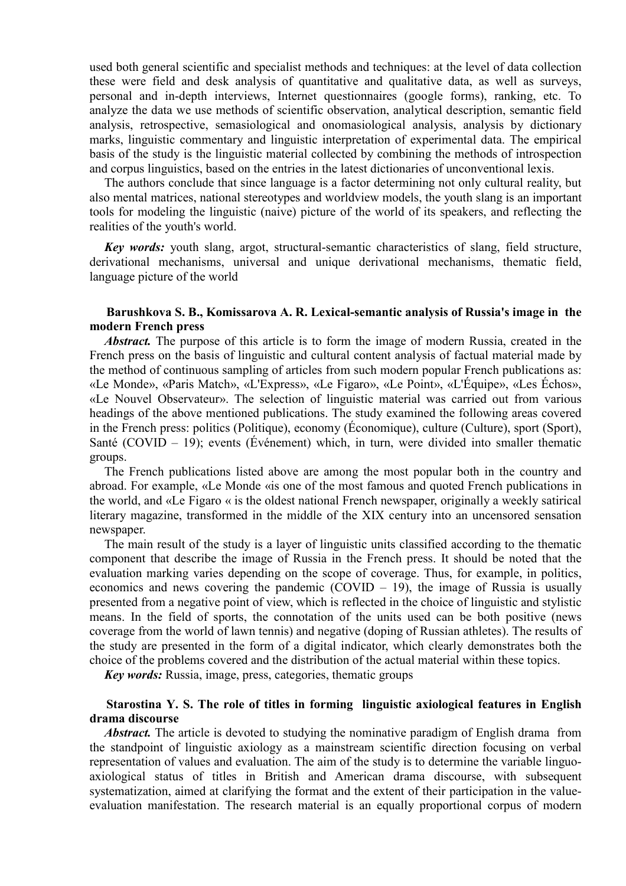used both general scientific and specialist methods and techniques: at the level of data collection these were field and desk analysis of quantitative and qualitative data, as well as surveys, personal and in-depth interviews, Internet questionnaires (google forms), ranking, etc. To analyze the data we use methods of scientific observation, analytical description, semantic field analysis, retrospective, semasiological and onomasiological analysis, analysis by dictionary marks, linguistic commentary and linguistic interpretation of experimental data. The empirical basis of the study is the linguistic material collected by combining the methods of introspection and corpus linguistics, based on the entries in the latest dictionaries of unconventional lexis.

The authors conclude that since language is a factor determining not only cultural reality, but also mental matrices, national stereotypes and worldview models, the youth slang is an important tools for modeling the linguistic (naive) picture of the world of its speakers, and reflecting the realities of the youth's world.

*Key words:* youth slang, argot, structural-semantic characteristics of slang, field structure, derivational mechanisms, universal and unique derivational mechanisms, thematic field, language picture of the world

## **Barushkova S. B., Komissarova A. R. Lexical-semantic analysis of Russia's image in the modern French press**

Abstract. The purpose of this article is to form the image of modern Russia, created in the French press on the basis of linguistic and cultural content analysis of factual material made by the method of continuous sampling of articles from such modern popular French publications as: «Le Monde», «Paris Match», «L'Express», «Le Figaro», «Le Point», «L'Équipe», «Les Échos», «Le Nouvel Observateur». The selection of linguistic material was carried out from various headings of the above mentioned publications. The study examined the following areas covered in the French press: politics (Politique), economy (Économique), culture (Culture), sport (Sport), Santé (COVID – 19); events (Événement) which, in turn, were divided into smaller thematic groups.

The French publications listed above are among the most popular both in the country and abroad. For example, «Le Monde «is one of the most famous and quoted French publications in the world, and «Le Figaro « is the oldest national French newspaper, originally a weekly satirical literary magazine, transformed in the middle of the XIX century into an uncensored sensation newspaper.

The main result of the study is a layer of linguistic units classified according to the thematic component that describe the image of Russia in the French press. It should be noted that the evaluation marking varies depending on the scope of coverage. Thus, for example, in politics, economics and news covering the pandemic  $(COVID - 19)$ , the image of Russia is usually presented from a negative point of view, which is reflected in the choice of linguistic and stylistic means. In the field of sports, the connotation of the units used can be both positive (news coverage from the world of lawn tennis) and negative (doping of Russian athletes). The results of the study are presented in the form of a digital indicator, which clearly demonstrates both the choice of the problems covered and the distribution of the actual material within these topics.

*Key words:* Russia, image, press, categories, thematic groups

## **Starostina Y. S. The role of titles in forming linguistic axiological features in English drama discourse**

*Abstract.* The article is devoted to studying the nominative paradigm of English drama from the standpoint of linguistic axiology as a mainstream scientific direction focusing on verbal representation of values and evaluation. The aim of the study is to determine the variable linguoaxiological status of titles in British and American drama discourse, with subsequent systematization, aimed at clarifying the format and the extent of their participation in the valueevaluation manifestation. The research material is an equally proportional corpus of modern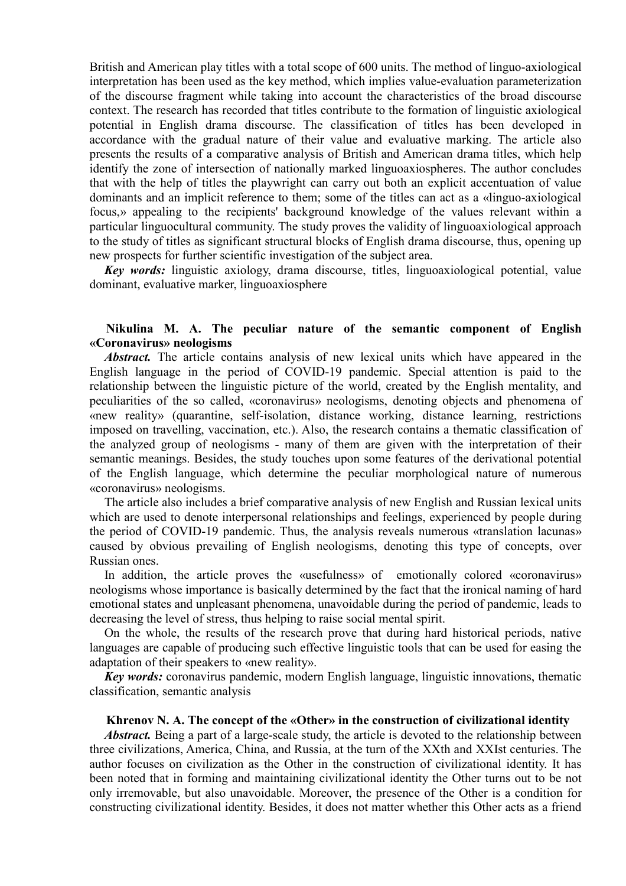British and American play titles with a total scope of 600 units. The method of linguo-axiological interpretation has been used as the key method, which implies value-evaluation parameterization of the discourse fragment while taking into account the characteristics of the broad discourse context. The research has recorded that titles contribute to the formation of linguistic axiological potential in English drama discourse. The classification of titles has been developed in accordance with the gradual nature of their value and evaluative marking. The article also presents the results of a comparative analysis of British and American drama titles, which help identify the zone of intersection of nationally marked linguoaxiospheres. The author concludes that with the help of titles the playwright can carry out both an explicit accentuation of value dominants and an implicit reference to them; some of the titles can act as a «linguo-axiological focus,» appealing to the recipients' background knowledge of the values relevant within a particular linguocultural community. The study proves the validity of linguoaxiological approach to the study of titles as significant structural blocks of English drama discourse, thus, opening up new prospects for further scientific investigation of the subject area.

*Key words:* linguistic axiology, drama discourse, titles, linguoaxiological potential, value dominant, evaluative marker, linguoaxiosphere

## **Nikulina M. A. The peculiar nature of the semantic component of English «Coronavirus» neologisms**

*Abstract.* The article contains analysis of new lexical units which have appeared in the English language in the period of COVID-19 pandemic. Special attention is paid to the relationship between the linguistic picture of the world, created by the English mentality, and peculiarities of the so called, «coronavirus» neologisms, denoting objects and phenomena of «new reality» (quarantine, self-isolation, distance working, distance learning, restrictions imposed on travelling, vaccination, etc.). Also, the research contains a thematic classification of the analyzed group of neologisms - many of them are given with the interpretation of their semantic meanings. Besides, the study touches upon some features of the derivational potential of the English language, which determine the peculiar morphological nature of numerous «coronavirus» neologisms.

The article also includes a brief comparative analysis of new English and Russian lexical units which are used to denote interpersonal relationships and feelings, experienced by people during the period of COVID-19 pandemic. Thus, the analysis reveals numerous «translation lacunas» caused by obvious prevailing of English neologisms, denoting this type of concepts, over Russian ones.

In addition, the article proves the «usefulness» of emotionally colored «coronavirus» neologisms whose importance is basically determined by the fact that the ironical naming of hard emotional states and unpleasant phenomena, unavoidable during the period of pandemic, leads to decreasing the level of stress, thus helping to raise social mental spirit.

On the whole, the results of the research prove that during hard historical periods, native languages are capable of producing such effective linguistic tools that can be used for easing the adaptation of their speakers to «new reality».

*Key words:* coronavirus pandemic, modern English language, linguistic innovations, thematic classification, semantic analysis

#### **Khrenov N. A. The concept of the «Other» in the construction of civilizational identity**

*Abstract.* Being a part of a large-scale study, the article is devoted to the relationship between three civilizations, America, China, and Russia, at the turn of the XXth and XXIst centuries. The author focuses on civilization as the Other in the construction of civilizational identity. It has been noted that in forming and maintaining civilizational identity the Other turns out to be not only irremovable, but also unavoidable. Moreover, the presence of the Other is a condition for constructing civilizational identity. Besides, it does not matter whether this Other acts as a friend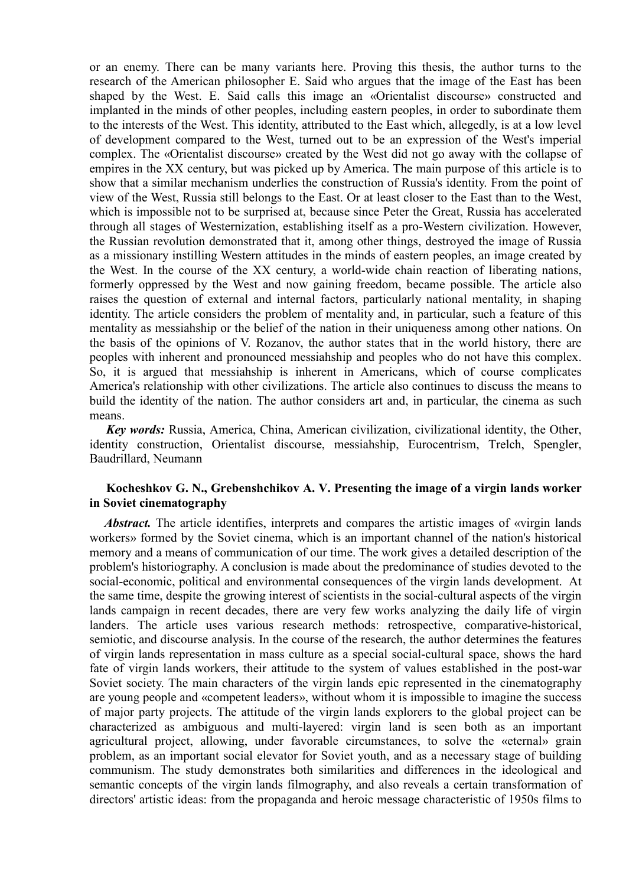or an enemy. There can be many variants here. Proving this thesis, the author turns to the research of the American philosopher E. Said who argues that the image of the East has been shaped by the West. E. Said calls this image an «Orientalist discourse» constructed and implanted in the minds of other peoples, including eastern peoples, in order to subordinate them to the interests of the West. This identity, attributed to the East which, allegedly, is at a low level of development compared to the West, turned out to be an expression of the West's imperial complex. The «Orientalist discourse» created by the West did not go away with the collapse of empires in the XX century, but was picked up by America. The main purpose of this article is to show that a similar mechanism underlies the construction of Russia's identity. From the point of view of the West, Russia still belongs to the East. Or at least closer to the East than to the West, which is impossible not to be surprised at, because since Peter the Great, Russia has accelerated through all stages of Westernization, establishing itself as a pro-Western civilization. However, the Russian revolution demonstrated that it, among other things, destroyed the image of Russia as a missionary instilling Western attitudes in the minds of eastern peoples, an image created by the West. In the course of the XX century, a world-wide chain reaction of liberating nations, formerly oppressed by the West and now gaining freedom, became possible. The article also raises the question of external and internal factors, particularly national mentality, in shaping identity. The article considers the problem of mentality and, in particular, such a feature of this mentality as messiahship or the belief of the nation in their uniqueness among other nations. On the basis of the opinions of V. Rozanov, the author states that in the world history, there are peoples with inherent and pronounced messiahship and peoples who do not have this complex. So, it is argued that messiahship is inherent in Americans, which of course complicates America's relationship with other civilizations. The article also continues to discuss the means to build the identity of the nation. The author considers art and, in particular, the cinema as such means.

*Key words:* Russia, America, China, American civilization, civilizational identity, the Other, identity construction, Orientalist discourse, messiahship, Eurocentrism, Trelch, Spengler, Baudrillard, Neumann

## **Kocheshkov G. N., Grebenshchikov A. V. Presenting the image of a virgin lands worker in Soviet cinematography**

*Abstract.* The article identifies, interprets and compares the artistic images of «virgin lands workers» formed by the Soviet cinema, which is an important channel of the nation's historical memory and a means of communication of our time. The work gives a detailed description of the problem's historiography. A conclusion is made about the predominance of studies devoted to the social-economic, political and environmental consequences of the virgin lands development. At the same time, despite the growing interest of scientists in the social-cultural aspects of the virgin lands campaign in recent decades, there are very few works analyzing the daily life of virgin landers. The article uses various research methods: retrospective, comparative-historical, semiotic, and discourse analysis. In the course of the research, the author determines the features of virgin lands representation in mass culture as a special social-cultural space, shows the hard fate of virgin lands workers, their attitude to the system of values established in the post-war Soviet society. The main characters of the virgin lands epic represented in the cinematography are young people and «competent leaders», without whom it is impossible to imagine the success of major party projects. The attitude of the virgin lands explorers to the global project can be characterized as ambiguous and multi-layered: virgin land is seen both as an important agricultural project, allowing, under favorable circumstances, to solve the «eternal» grain problem, as an important social elevator for Soviet youth, and as a necessary stage of building communism. The study demonstrates both similarities and differences in the ideological and semantic concepts of the virgin lands filmography, and also reveals a certain transformation of directors' artistic ideas: from the propaganda and heroic message characteristic of 1950s films to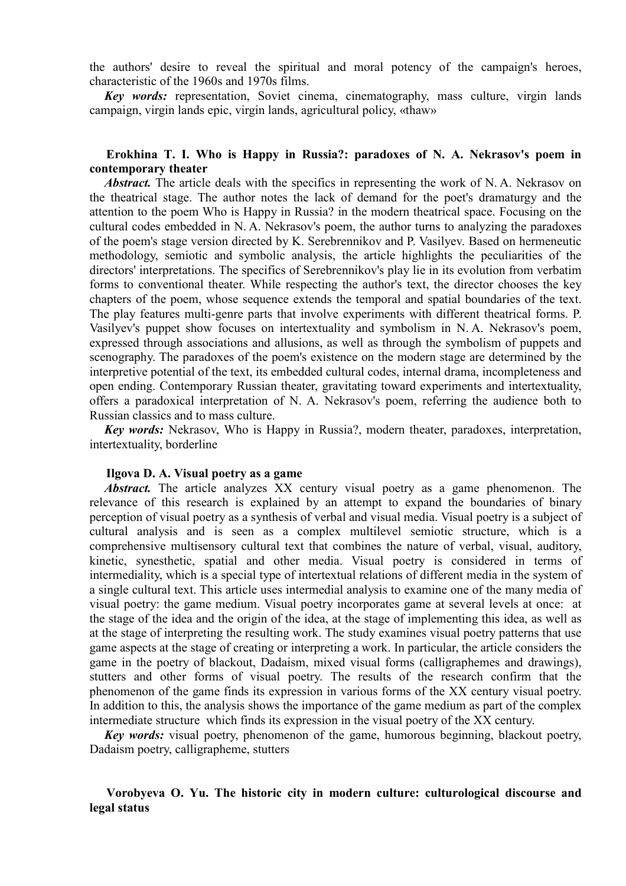the authors' desire to reveal the spiritual and moral potency of the campaign's heroes, characteristic of the 1960s and 1970s films.

*Key words:* representation, Soviet cinema, cinematography, mass culture, virgin lands campaign, virgin lands epic, virgin lands, agricultural policy, «thaw»

## **Erokhina T. I. Who is Happy in Russia?: paradoxes of N. A. Nekrasov's poem in contemporary theater**

*Abstract.* The article deals with the specifics in representing the work of N.A. Nekrasov on the theatrical stage. The author notes the lack of demand for the poet's dramaturgy and the attention to the poem Who is Happy in Russia? in the modern theatrical space. Focusing on the cultural codes embedded in N. A. Nekrasov's poem, the author turns to analyzing the paradoxes of the poem's stage version directed by K. Serebrennikov and P. Vasilyev. Based on hermeneutic methodology, semiotic and symbolic analysis, the article highlights the peculiarities of the directors' interpretations. The specifics of Serebrennikov's play lie in its evolution from verbatim forms to conventional theater. While respecting the author's text, the director chooses the key chapters of the poem, whose sequence extends the temporal and spatial boundaries of the text. The play features multi-genre parts that involve experiments with different theatrical forms. P. Vasilyev's puppet show focuses on intertextuality and symbolism in N. A. Nekrasov's poem, expressed through associations and allusions, as well as through the symbolism of puppets and scenography. The paradoxes of the poem's existence on the modern stage are determined by the interpretive potential of the text, its embedded cultural codes, internal drama, incompleteness and open ending. Contemporary Russian theater, gravitating toward experiments and intertextuality, offers a paradoxical interpretation of N. A. Nekrasov's poem, referring the audience both to Russian classics and to mass culture.

*Key words:* Nekrasov, Who is Happy in Russia?, modern theater, paradoxes, interpretation, intertextuality, borderline

### **Ilgova D. A. Visual poetry as a game**

*Abstract.* The article analyzes XX century visual poetry as a game phenomenon. The relevance of this research is explained by an attempt to expand the boundaries of binary perception of visual poetry as a synthesis of verbal and visual media. Visual poetry is a subject of cultural analysis and is seen as a complex multilevel semiotic structure, which is a comprehensive multisensory cultural text that combines the nature of verbal, visual, auditory, kinetic, synesthetic, spatial and other media. Visual poetry is considered in terms of intermediality, which is a special type of intertextual relations of different media in the system of a single cultural text. This article uses intermedial analysis to examine one of the many media of visual poetry: the game medium. Visual poetry incorporates game at several levels at once: at the stage of the idea and the origin of the idea, at the stage of implementing this idea, as well as at the stage of interpreting the resulting work. The study examines visual poetry patterns that use game aspects at the stage of creating or interpreting a work. In particular, the article considers the game in the poetry of blackout, Dadaism, mixed visual forms (calligraphemes and drawings), stutters and other forms of visual poetry. The results of the research confirm that the phenomenon of the game finds its expression in various forms of the XX century visual poetry. In addition to this, the analysis shows the importance of the game medium as part of the complex intermediate structure which finds its expression in the visual poetry of the XX century.

*Key words:* visual poetry, phenomenon of the game, humorous beginning, blackout poetry, Dadaism poetry, calligrapheme, stutters

# **Vorobyeva O. Yu. The historic city in modern culture: culturological discourse and legal status**